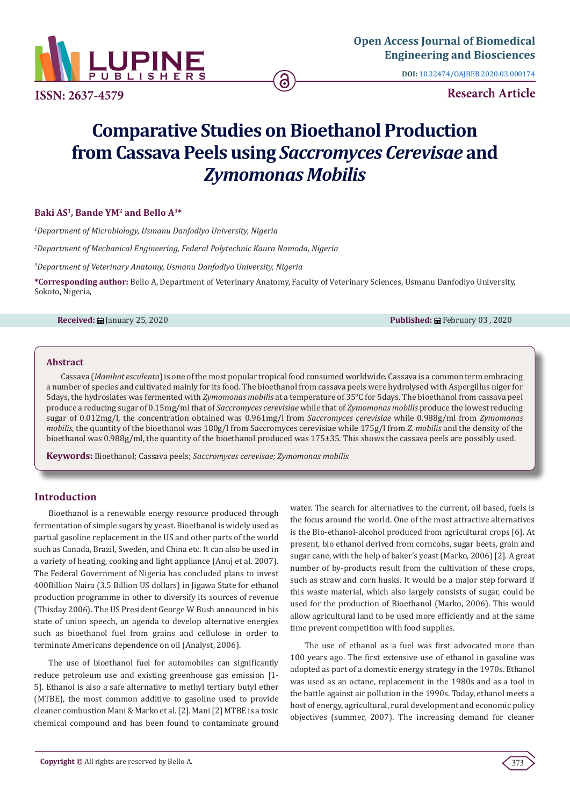

**DOI:** [10.32474/OAJBEB.2020.03.000174](http://dx.doi.org/10.32474/OAJBEB.2020.03.000174)

**ISSN: 2637-4579 Research Article**

# **Comparative Studies on Bioethanol Production from Cassava Peels using** *Saccromyces Cerevisae* **and**  *Zymomonas Mobilis*

# **Baki AS1, Bande YM2 and Bello A3\***

*1 Department of Microbiology, Usmanu Danfodiyo University, Nigeria*

*2 Department of Mechanical Engineering, Federal Polytechnic Kaura Namoda, Nigeria*

*3 Department of Veterinary Anatomy, Usmanu Danfodiyo University, Nigeria*

**\*Corresponding author:** Bello A, Department of Veterinary Anatomy, Faculty of Veterinary Sciences, Usmanu Danfodiyo University, Sokoto, Nigeria,

**Received:** January 25, 2020 **Published:** February 03 , 2020

#### **Abstract**

Cassava (*Manihot esculenta*) is one of the most popular tropical food consumed worldwide. Cassava is a common term embracing a number of species and cultivated mainly for its food. The bioethanol from cassava peels were hydrolysed with Aspergillus niger for 5days, the hydroslates was fermented with *Zymomonas mobilis* at a temperature of 35°C for 5days. The bioethanol from cassava peel produce a reducing sugar of 0.15mg/ml that of *Saccromyces cerevisiae* while that of *Zymomonas mobilis* produce the lowest reducing sugar of 0.012mg/l, the concentration obtained was 0.961mg/l from *Saccromyces cerevisiae* while 0.988g/ml from *Zymomonas mobilis*, the quantity of the bioethanol was 180g/l from Saccromyces cerevisiae while 175g/l from *Z. mobilis* and the density of the bioethanol was 0.988g/ml, the quantity of the bioethanol produced was 175±35. This shows the cassava peels are possibly used.

**Keywords:** Bioethanol; Cassava peels; *Saccromyces cerevisae; Zymomonas mobilis*

# **Introduction**

Bioethanol is a renewable energy resource produced through fermentation of simple sugars by yeast. Bioethanol is widely used as partial gasoline replacement in the US and other parts of the world such as Canada, Brazil, Sweden, and China etc. It can also be used in a variety of heating, cooking and light appliance (Anuj et al. 2007). The Federal Government of Nigeria has concluded plans to invest 400Billion Naira (3.5 Billion US dollars) in Jigawa State for ethanol production programme in other to diversify its sources of revenue (Thisday 2006). The US President George W Bush announced in his state of union speech, an agenda to develop alternative energies such as bioethanol fuel from grains and cellulose in order to terminate Americans dependence on oil (Analyst, 2006).

The use of bioethanol fuel for automobiles can significantly reduce petroleum use and existing greenhouse gas emission [1- 5]. Ethanol is also a safe alternative to methyl tertiary butyl ether (MTBE), the most common additive to gasoline used to provide cleaner combustion Mani & Marko et al. [2]. Mani [2] MTBE is a toxic chemical compound and has been found to contaminate ground

water. The search for alternatives to the current, oil based, fuels is the focus around the world. One of the most attractive alternatives is the Bio-ethanol-alcohol produced from agricultural crops [6]. At present, bio ethanol derived from corncobs, sugar beets, grain and sugar cane, with the help of baker's yeast (Marko, 2006) [2]. A great number of by-products result from the cultivation of these crops, such as straw and corn husks. It would be a major step forward if this waste material, which also largely consists of sugar, could be used for the production of Bioethanol (Marko, 2006). This would allow agricultural land to be used more efficiently and at the same time prevent competition with food supplies.

The use of ethanol as a fuel was first advocated more than 100 years ago. The first extensive use of ethanol in gasoline was adopted as part of a domestic energy strategy in the 1970s. Ethanol was used as an octane, replacement in the 1980s and as a tool in the battle against air pollution in the 1990s. Today, ethanol meets a host of energy, agricultural, rural development and economic policy objectives (summer, 2007). The increasing demand for cleaner

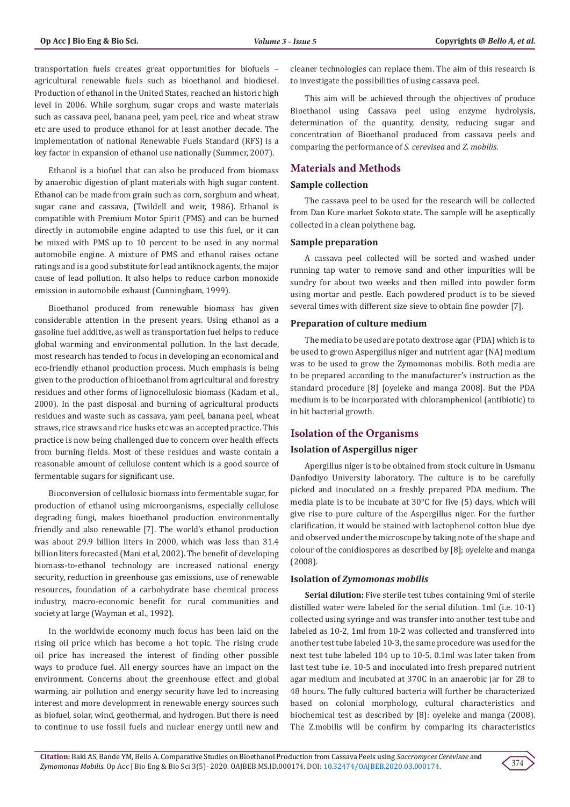transportation fuels creates great opportunities for biofuels – agricultural renewable fuels such as bioethanol and biodiesel. Production of ethanol in the United States, reached an historic high level in 2006. While sorghum, sugar crops and waste materials such as cassava peel, banana peel, yam peel, rice and wheat straw etc are used to produce ethanol for at least another decade. The implementation of national Renewable Fuels Standard (RFS) is a key factor in expansion of ethanol use nationally (Summer, 2007).

Ethanol is a biofuel that can also be produced from biomass by anaerobic digestion of plant materials with high sugar content. Ethanol can be made from grain such as corn, sorghum and wheat, sugar cane and cassava, (Twildell and weir, 1986). Ethanol is compatible with Premium Motor Spirit (PMS) and can be burned directly in automobile engine adapted to use this fuel, or it can be mixed with PMS up to 10 percent to be used in any normal automobile engine. A mixture of PMS and ethanol raises octane ratings and is a good substitute for lead antiknock agents, the major cause of lead pollution. It also helps to reduce carbon monoxide emission in automobile exhaust (Cunningham, 1999).

Bioethanol produced from renewable biomass has given considerable attention in the present years. Using ethanol as a gasoline fuel additive, as well as transportation fuel helps to reduce global warming and environmental pollution. In the last decade, most research has tended to focus in developing an economical and eco-friendly ethanol production process. Much emphasis is being given to the production of bioethanol from agricultural and forestry residues and other forms of lignocellulosic biomass (Kadam et al., 2000). In the past disposal and burning of agricultural products residues and waste such as cassava, yam peel, banana peel, wheat straws, rice straws and rice husks etc was an accepted practice. This practice is now being challenged due to concern over health effects from burning fields. Most of these residues and waste contain a reasonable amount of cellulose content which is a good source of fermentable sugars for significant use.

Bioconversion of cellulosic biomass into fermentable sugar, for production of ethanol using microorganisms, especially cellulose degrading fungi, makes bioethanol production environmentally friendly and also renewable [7]. The world's ethanol production was about 29.9 billion liters in 2000, which was less than 31.4 billion liters forecasted (Mani et al, 2002). The benefit of developing biomass-to-ethanol technology are increased national energy security, reduction in greenhouse gas emissions, use of renewable resources, foundation of a carbohydrate base chemical process industry, macro-economic benefit for rural communities and society at large (Wayman et al., 1992).

In the worldwide economy much focus has been laid on the rising oil price which has become a hot topic. The rising crude oil price has increased the interest of finding other possible ways to produce fuel. All energy sources have an impact on the environment. Concerns about the greenhouse effect and global warming, air pollution and energy security have led to increasing interest and more development in renewable energy sources such as biofuel, solar, wind, geothermal, and hydrogen. But there is need to continue to use fossil fuels and nuclear energy until new and

cleaner technologies can replace them. The aim of this research is to investigate the possibilities of using cassava peel.

This aim will be achieved through the objectives of produce Bioethanol using Cassava peel using enzyme hydrolysis, determination of the quantity, density, reducing sugar and concentration of Bioethanol produced from cassava peels and comparing the performance of *S. cerevisea* and *Z. mobilis*.

# **Materials and Methods**

#### **Sample collection**

The cassava peel to be used for the research will be collected from Dan Kure market Sokoto state. The sample will be aseptically collected in a clean polythene bag.

#### **Sample preparation**

A cassava peel collected will be sorted and washed under running tap water to remove sand and other impurities will be sundry for about two weeks and then milled into powder form using mortar and pestle. Each powdered product is to be sieved several times with different size sieve to obtain fine powder [7].

#### **Preparation of culture medium**

The media to be used are potato dextrose agar (PDA) which is to be used to grown Aspergillus niger and nutrient agar (NA) medium was to be used to grow the Zymomonas mobilis. Both media are to be prepared according to the manufacturer's instruction as the standard procedure [8] [oyeleke and manga 2008]. But the PDA medium is to be incorporated with chloramphenicol (antibiotic) to in hit bacterial growth.

#### **Isolation of the Organisms**

# **Isolation of Aspergillus niger**

Apergillus niger is to be obtained from stock culture in Usmanu Danfodiyo University laboratory. The culture is to be carefully picked and inoculated on a freshly prepared PDA medium. The media plate is to be incubate at 30°C for five (5) days, which will give rise to pure culture of the Aspergillus niger. For the further clarification, it would be stained with lactophenol cotton blue dye and observed under the microscope by taking note of the shape and colour of the conidiospores as described by [8]; oyeleke and manga (2008).

#### **Isolation of** *Zymomonas mobilis*

**Serial dilution:** Five sterile test tubes containing 9ml of sterile distilled water were labeled for the serial dilution. 1ml (i.e. 10-1) collected using syringe and was transfer into another test tube and labeled as 10-2, 1ml from 10-2 was collected and transferred into another test tube labeled 10-3, the same procedure was used for the next test tube labeled 104 up to 10-5. 0.1ml was later taken from last test tube i.e. 10-5 and inoculated into fresh prepared nutrient agar medium and incubated at 370C in an anaerobic jar for 28 to 48 hours. The fully cultured bacteria will further be characterized based on colonial morphology, cultural characteristics and biochemical test as described by [8]: oyeleke and manga (2008). The Z.mobilis will be confirm by comparing its characteristics

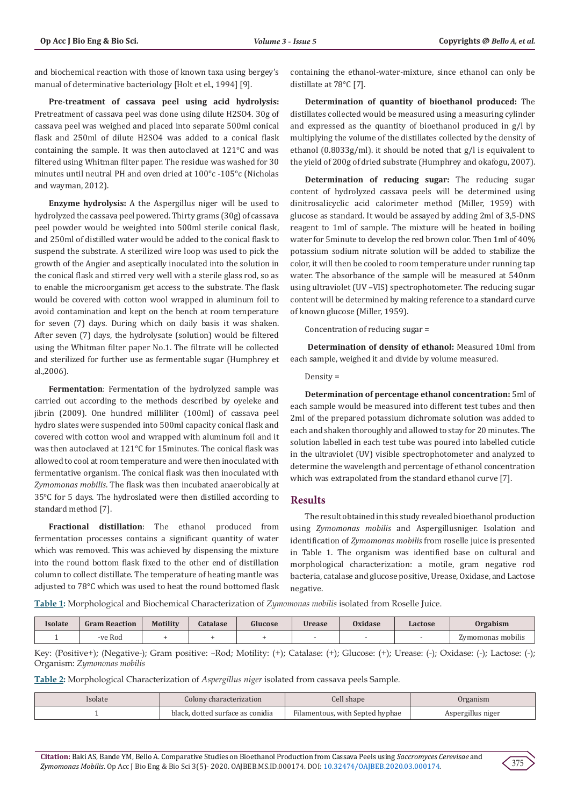and biochemical reaction with those of known taxa using bergey's manual of determinative bacteriology [Holt et el., 1994] [9].

**Pre**-**treatment of cassava peel using acid hydrolysis:**  Pretreatment of cassava peel was done using dilute H2SO4. 30g of cassava peel was weighed and placed into separate 500ml conical flask and 250ml of dilute H2SO4 was added to a conical flask containing the sample. It was then autoclaved at 121°C and was filtered using Whitman filter paper. The residue was washed for 30 minutes until neutral PH and oven dried at 100°c -105°c (Nicholas and wayman, 2012).

**Enzyme hydrolysis:** A the Aspergillus niger will be used to hydrolyzed the cassava peel powered. Thirty grams (30g) of cassava peel powder would be weighted into 500ml sterile conical flask, and 250ml of distilled water would be added to the conical flask to suspend the substrate. A sterilized wire loop was used to pick the growth of the Angier and aseptically inoculated into the solution in the conical flask and stirred very well with a sterile glass rod, so as to enable the microorganism get access to the substrate. The flask would be covered with cotton wool wrapped in aluminum foil to avoid contamination and kept on the bench at room temperature for seven (7) days. During which on daily basis it was shaken. After seven (7) days, the hydrolysate (solution) would be filtered using the Whitman filter paper No.1. The filtrate will be collected and sterilized for further use as fermentable sugar (Humphrey et al.,2006).

**Fermentation**: Fermentation of the hydrolyzed sample was carried out according to the methods described by oyeleke and jibrin (2009). One hundred milliliter (100ml) of cassava peel hydro slates were suspended into 500ml capacity conical flask and covered with cotton wool and wrapped with aluminum foil and it was then autoclaved at 121°C for 15minutes. The conical flask was allowed to cool at room temperature and were then inoculated with fermentative organism. The conical flask was then inoculated with *Zymomonas mobilis*. The flask was then incubated anaerobically at 35°C for 5 days. The hydroslated were then distilled according to standard method [7].

**Fractional distillation**: The ethanol produced from fermentation processes contains a significant quantity of water which was removed. This was achieved by dispensing the mixture into the round bottom flask fixed to the other end of distillation column to collect distillate. The temperature of heating mantle was adjusted to 78°C which was used to heat the round bottomed flask containing the ethanol-water-mixture, since ethanol can only be distillate at 78°C [7].

**Determination of quantity of bioethanol produced:** The distillates collected would be measured using a measuring cylinder and expressed as the quantity of bioethanol produced in g/l by multiplying the volume of the distillates collected by the density of ethanol (0.8033g/ml). it should be noted that g/l is equivalent to the yield of 200g of dried substrate (Humphrey and okafogu, 2007).

**Determination of reducing sugar:** The reducing sugar content of hydrolyzed cassava peels will be determined using dinitrosalicyclic acid calorimeter method (Miller, 1959) with glucose as standard. It would be assayed by adding 2ml of 3,5-DNS reagent to 1ml of sample. The mixture will be heated in boiling water for 5minute to develop the red brown color. Then 1ml of 40% potassium sodium nitrate solution will be added to stabilize the color, it will then be cooled to room temperature under running tap water. The absorbance of the sample will be measured at 540nm using ultraviolet (UV –VIS) spectrophotometer. The reducing sugar content will be determined by making reference to a standard curve of known glucose (Miller, 1959).

Concentration of reducing sugar =

**Determination of density of ethanol:** Measured 10ml from each sample, weighed it and divide by volume measured.

#### Density =

**Determination of percentage ethanol concentration:** 5ml of each sample would be measured into different test tubes and then 2ml of the prepared potassium dichromate solution was added to each and shaken thoroughly and allowed to stay for 20 minutes. The solution labelled in each test tube was poured into labelled cuticle in the ultraviolet (UV) visible spectrophotometer and analyzed to determine the wavelength and percentage of ethanol concentration which was extrapolated from the standard ethanol curve [7].

#### **Results**

The result obtained in this study revealed bioethanol production using *Zymomonas mobilis* and Aspergillusniger. Isolation and identification of *Zymomonas mobilis* from roselle juice is presented in Table 1. The organism was identified base on cultural and morphological characterization: a motile, gram negative rod bacteria, catalase and glucose positive, Urease, Oxidase, and Lactose negative.

**Table 1:** Morphological and Biochemical Characterization of *Zymomonas mobilis* isolated from Roselle Juice.

| Isolate | <b>Gram Reaction</b> | <b>Motility</b> | <b>Catalase</b> | Glucose | <b>Urease</b> | Oxidase | Lactose | Orgabism          |
|---------|----------------------|-----------------|-----------------|---------|---------------|---------|---------|-------------------|
|         | -ve Rod              |                 |                 |         |               |         |         | Zymomonas mobilis |

Key: (Positive+); (Negative-); Gram positive: –Rod; Motility: (+); Catalase: (+); Glucose: (+); Urease: (-); Oxidase: (-); Lactose: (-); Organism: *Zymononas mobilis*

**Table 2:** Morphological Characterization of *Aspergillus niger* isolated from cassava peels Sample.

| Isolate | Colony characterization          | Cell shape                      | Jrganism          |
|---------|----------------------------------|---------------------------------|-------------------|
|         | black, dotted surface as conidia | Filamentous, with Septed hyphae | Aspergillus niger |

**Citation:** Baki AS, Bande YM, Bello A. Comparative Studies on Bioethanol Production from Cassava Peels using *Saccromyces Cerevisae* and *Zymomonas Mobilis*. Op Acc J Bio Eng & Bio Sci 3(5)- 2020. OAJBEB.MS.ID.000174. DOI: [10.32474/OAJBEB.2020.03.000174.](http://dx.doi.org/10.32474/OAJBEB.2020.03.000174)

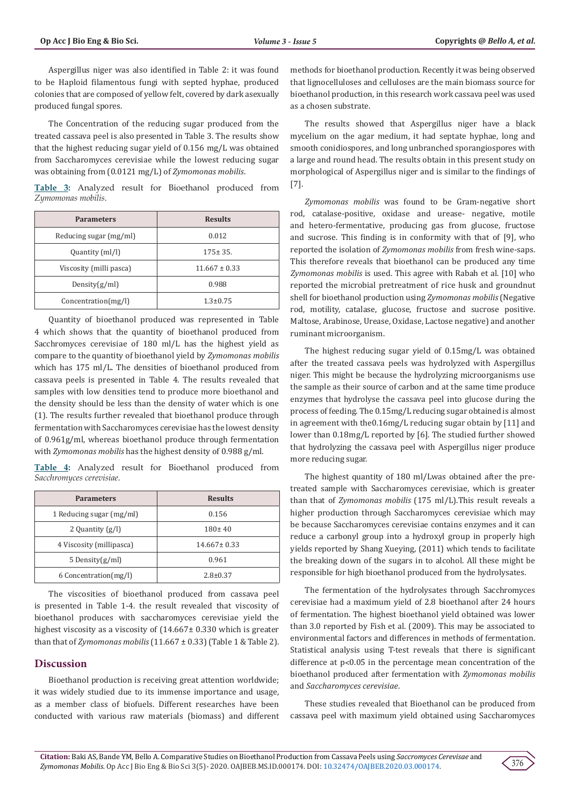Aspergillus niger was also identified in Table 2: it was found to be Haploid filamentous fungi with septed hyphae, produced colonies that are composed of yellow felt, covered by dark asexually produced fungal spores.

The Concentration of the reducing sugar produced from the treated cassava peel is also presented in Table 3. The results show that the highest reducing sugar yield of 0.156 mg/L was obtained from Saccharomyces cerevisiae while the lowest reducing sugar was obtaining from (0.0121 mg/L) of *Zymomonas mobilis*.

**Table 3:** Analyzed result for Bioethanol produced from *Zymomonas mobilis*.

| <b>Parameters</b>       | <b>Results</b>    |  |
|-------------------------|-------------------|--|
| Reducing sugar (mg/ml)  | 0.012             |  |
| Quantity (ml/l)         | $175 \pm 35$ .    |  |
| Viscosity (milli pasca) | $11.667 \pm 0.33$ |  |
| Density(g/ml)           | 0.988             |  |
| Concentration(mg/l)     | $1.3 \pm 0.75$    |  |

Quantity of bioethanol produced was represented in Table 4 which shows that the quantity of bioethanol produced from Sacchromyces cerevisiae of 180 ml/L has the highest yield as compare to the quantity of bioethanol yield by *Zymomonas mobilis* which has 175 ml/L. The densities of bioethanol produced from cassava peels is presented in Table 4. The results revealed that samples with low densities tend to produce more bioethanol and the density should be less than the density of water which is one (1). The results further revealed that bioethanol produce through fermentation with Saccharomyces cerevisiae has the lowest density of 0.961g/ml, whereas bioethanol produce through fermentation with *Zymomonas mobilis* has the highest density of 0.988 g/ml.

**Table 4:** Analyzed result for Bioethanol produced from *Sacchromyces cerevisiae*.

| <b>Parameters</b>        | <b>Results</b>    |  |
|--------------------------|-------------------|--|
| 1 Reducing sugar (mg/ml) | 0.156             |  |
| 2 Quantity $(g/l)$       | $180 \pm 40$      |  |
| 4 Viscosity (millipasca) | $14.667 \pm 0.33$ |  |
| 5 Density $(g/ml)$       | 0.961             |  |
| 6 Concentration (mg/l)   | $2.8 \pm 0.37$    |  |

The viscosities of bioethanol produced from cassava peel is presented in Table 1-4. the result revealed that viscosity of bioethanol produces with saccharomyces cerevisiae yield the highest viscosity as a viscosity of  $(14.667 \pm 0.330)$  which is greater than that of *Zymomonas mobilis* (11.667  $\pm$  0.33) (Table 1 & Table 2).

# **Discussion**

Bioethanol production is receiving great attention worldwide; it was widely studied due to its immense importance and usage, as a member class of biofuels. Different researches have been conducted with various raw materials (biomass) and different methods for bioethanol production. Recently it was being observed that lignocelluloses and celluloses are the main biomass source for bioethanol production, in this research work cassava peel was used as a chosen substrate.

The results showed that Aspergillus niger have a black mycelium on the agar medium, it had septate hyphae, long and smooth conidiospores, and long unbranched sporangiospores with a large and round head. The results obtain in this present study on morphological of Aspergillus niger and is similar to the findings of [7].

*Zymomonas mobilis* was found to be Gram-negative short rod, catalase-positive, oxidase and urease- negative, motile and hetero-fermentative, producing gas from glucose, fructose and sucrose. This finding is in conformity with that of [9], who reported the isolation of *Zymomonas mobilis* from fresh wine-saps. This therefore reveals that bioethanol can be produced any time *Zymomonas mobilis* is used. This agree with Rabah et al. [10] who reported the microbial pretreatment of rice husk and groundnut shell for bioethanol production using *Zymomonas mobilis* (Negative rod, motility, catalase, glucose, fructose and sucrose positive. Maltose, Arabinose, Urease, Oxidase, Lactose negative) and another ruminant microorganism.

The highest reducing sugar yield of 0.15mg/L was obtained after the treated cassava peels was hydrolyzed with Aspergillus niger. This might be because the hydrolyzing microorganisms use the sample as their source of carbon and at the same time produce enzymes that hydrolyse the cassava peel into glucose during the process of feeding. The 0.15mg/L reducing sugar obtained is almost in agreement with the0.16mg/L reducing sugar obtain by [11] and lower than 0.18mg/L reported by [6]. The studied further showed that hydrolyzing the cassava peel with Aspergillus niger produce more reducing sugar.

The highest quantity of 180 ml/Lwas obtained after the pretreated sample with Saccharomyces cerevisiae, which is greater than that of *Zymomonas mobilis* (175 ml/L).This result reveals a higher production through Saccharomyces cerevisiae which may be because Saccharomyces cerevisiae contains enzymes and it can reduce a carbonyl group into a hydroxyl group in properly high yields reported by Shang Xueying, (2011) which tends to facilitate the breaking down of the sugars in to alcohol. All these might be responsible for high bioethanol produced from the hydrolysates.

The fermentation of the hydrolysates through Sacchromyces cerevisiae had a maximum yield of 2.8 bioethanol after 24 hours of fermentation. The highest bioethanol yield obtained was lower than 3.0 reported by Fish et al. (2009). This may be associated to environmental factors and differences in methods of fermentation. Statistical analysis using T-test reveals that there is significant difference at p˂0.05 in the percentage mean concentration of the bioethanol produced after fermentation with *Zymomonas mobilis* and *Saccharomyces cerevisiae*.

These studies revealed that Bioethanol can be produced from cassava peel with maximum yield obtained using Saccharomyces

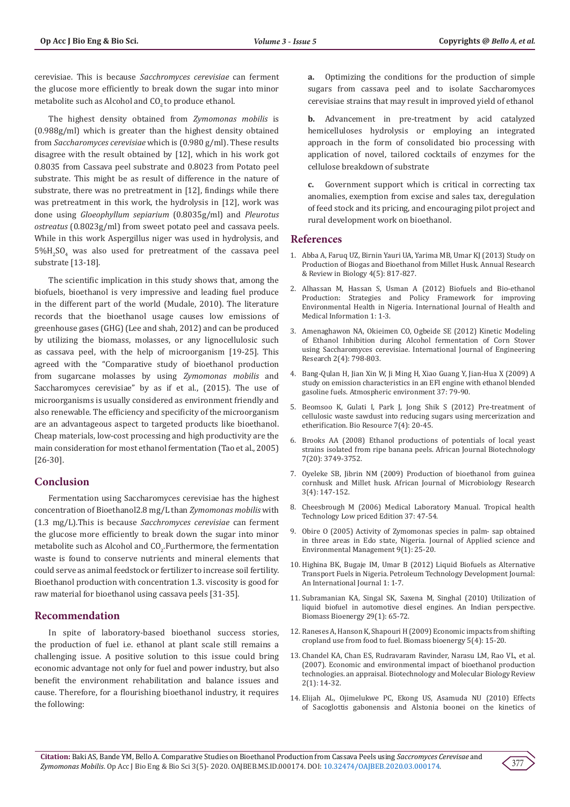cerevisiae. This is because *Sacchromyces cerevisiae* can ferment the glucose more efficiently to break down the sugar into minor metabolite such as Alcohol and CO<sub>2</sub> to produce ethanol.

The highest density obtained from *Zymomonas mobilis* is (0.988g/ml) which is greater than the highest density obtained from *Saccharomyces cerevisiae* which is (0.980 g/ml). These results disagree with the result obtained by [12], which in his work got 0.8035 from Cassava peel substrate and 0.8023 from Potato peel substrate. This might be as result of difference in the nature of substrate, there was no pretreatment in [12], findings while there was pretreatment in this work, the hydrolysis in [12], work was done using *Gloeophyllum sepiarium* (0.8035g/ml) and *Pleurotus ostreatus* (0.8023g/ml) from sweet potato peel and cassava peels. While in this work Aspergillus niger was used in hydrolysis, and  $5\%$ H<sub>2</sub>SO<sub>4</sub> was also used for pretreatment of the cassava peel substrate [13-18].

The scientific implication in this study shows that, among the biofuels, bioethanol is very impressive and leading fuel produce in the different part of the world (Mudale, 2010). The literature records that the bioethanol usage causes low emissions of greenhouse gases (GHG) (Lee and shah, 2012) and can be produced by utilizing the biomass, molasses, or any lignocellulosic such as cassava peel, with the help of microorganism [19-25]. This agreed with the "Comparative study of bioethanol production from sugarcane molasses by using *Zymomonas mobilis* and Saccharomyces cerevisiae" by as if et al., (2015). The use of microorganisms is usually considered as environment friendly and also renewable. The efficiency and specificity of the microorganism are an advantageous aspect to targeted products like bioethanol. Cheap materials, low-cost processing and high productivity are the main consideration for most ethanol fermentation (Tao et al., 2005) [26-30].

# **Conclusion**

Fermentation using Saccharomyces cerevisiae has the highest concentration of Bioethanol2.8 mg/L than *Zymomonas mobilis* with (1.3 mg/L).This is because *Sacchromyces cerevisiae* can ferment the glucose more efficiently to break down the sugar into minor metabolite such as Alcohol and  $\mathsf{CO}_{2^\star}$ Furthermore, the fermentation waste is found to conserve nutrients and mineral elements that could serve as animal feedstock or fertilizer to increase soil fertility. Bioethanol production with concentration 1.3. viscosity is good for raw material for bioethanol using cassava peels [31-35].

# **Recommendation**

In spite of laboratory-based bioethanol success stories, the production of fuel i.e. ethanol at plant scale still remains a challenging issue. A positive solution to this issue could bring economic advantage not only for fuel and power industry, but also benefit the environment rehabilitation and balance issues and cause. Therefore, for a flourishing bioethanol industry, it requires the following:

**a.** Optimizing the conditions for the production of simple sugars from cassava peel and to isolate Saccharomyces cerevisiae strains that may result in improved yield of ethanol

**b.** Advancement in pre-treatment by acid catalyzed hemicelluloses hydrolysis or employing an integrated approach in the form of consolidated bio processing with application of novel, tailored cocktails of enzymes for the cellulose breakdown of substrate

**c.** Government support which is critical in correcting tax anomalies, exemption from excise and sales tax, deregulation of feed stock and its pricing, and encouraging pilot project and rural development work on bioethanol.

#### **References**

- 1. [Abba A, Faruq UZ, Birnin Yauri UA, Yarima MB, Umar KJ \(2013\) Study on](http://www.journalarrb.com/index.php/ARRB/article/view/25184) [Production of Biogas and Bioethanol from Millet Husk. Annual Research](http://www.journalarrb.com/index.php/ARRB/article/view/25184) [& Review in Biology 4\(5\): 817-827.](http://www.journalarrb.com/index.php/ARRB/article/view/25184)
- 2. Alhassan M, Hassan S, Usman A (2012) Biofuels and Bio-ethanol Production: Strategies and Policy Framework for improving Environmental Health in Nigeria. International Journal of Health and Medical Information 1: 1-3.
- 3. [Amenaghawon NA, Okieimen CO, Ogbeide SE \(2012\) Kinetic Modeling](http://citeseerx.ist.psu.edu/viewdoc/download?doi=10.1.1.416.2178&rep=rep1&type=pdf) [of Ethanol Inhibition during Alcohol fermentation of Corn Stover](http://citeseerx.ist.psu.edu/viewdoc/download?doi=10.1.1.416.2178&rep=rep1&type=pdf) [using Saccharomyces cerevisiae. International Journal of Engineering](http://citeseerx.ist.psu.edu/viewdoc/download?doi=10.1.1.416.2178&rep=rep1&type=pdf) [Research 2\(4\): 798-803.](http://citeseerx.ist.psu.edu/viewdoc/download?doi=10.1.1.416.2178&rep=rep1&type=pdf)
- 4. Bang-Qulan H, Jian Xin W, Ji Ming H, Xiao Guang Y, Jian-Hua X (2009) A study on emission characteristics in an EFI engine with ethanol blended gasoline fuels. Atmospheric environment 37: 79-90.
- 5. [Beomsoo K, Gulati I, Park J, Jong Shik S \(2012\) Pre-treatment of](https://ojs.cnr.ncsu.edu/index.php/BioRes/article/view/BioRes_07_4_5152_Kim_Pretreatment_Cellulosic_Sawdust_Mercerization_Etherification) [cellulosic waste sawdust into reducing sugars using mercerization and](https://ojs.cnr.ncsu.edu/index.php/BioRes/article/view/BioRes_07_4_5152_Kim_Pretreatment_Cellulosic_Sawdust_Mercerization_Etherification) [etherification. Bio Resource 7\(4\): 20-45.](https://ojs.cnr.ncsu.edu/index.php/BioRes/article/view/BioRes_07_4_5152_Kim_Pretreatment_Cellulosic_Sawdust_Mercerization_Etherification)
- 6. [Brooks AA \(2008\) Ethanol productions of potentials of local yeast](https://www.researchgate.net/publication/228792260_Ethanol_production_potential_of_local_yeast_strains_isolated_from_ripe_banana_peels) [strains isolated from ripe banana peels. African Journal Biotechnology](https://www.researchgate.net/publication/228792260_Ethanol_production_potential_of_local_yeast_strains_isolated_from_ripe_banana_peels) [7\(20\): 3749-3752.](https://www.researchgate.net/publication/228792260_Ethanol_production_potential_of_local_yeast_strains_isolated_from_ripe_banana_peels)
- 7. [Oyeleke SB, Jibrin NM \(2009\) Production of bioethanol from guinea](https://www.researchgate.net/publication/261830573_Production_of_bioethanol_from_guinea_cornhusk_and_millet_husk) [cornhusk and Millet husk. African Journal of Microbiology Research](https://www.researchgate.net/publication/261830573_Production_of_bioethanol_from_guinea_cornhusk_and_millet_husk) [3\(4\): 147-152.](https://www.researchgate.net/publication/261830573_Production_of_bioethanol_from_guinea_cornhusk_and_millet_husk)
- 8. Cheesbrough M (2006) Medical Laboratory Manual. Tropical health Technology Low priced Edition 37: 47-54.
- 9. [Obire O \(2005\) Activity of Zymomonas species in palm- sap obtained](http://www.bioline.org.br/pdf?ja05005) [in three areas in Edo state, Nigeria. Journal of Applied science and](http://www.bioline.org.br/pdf?ja05005) [Environmental Management 9\(1\): 25-20.](http://www.bioline.org.br/pdf?ja05005)
- 10. Highina BK, Bugaje IM, Umar B (2012) Liquid Biofuels as Alternative Transport Fuels in Nigeria. Petroleum Technology Development Journal: An International Journal 1: 1-7.
- 11. [Subramanian KA, Singal SK, Saxena M, Singhal \(2010\) Utilization of](https://www.sciencedirect.com/science/article/pii/S0961953405000309) [liquid biofuel in automotive diesel engines. An Indian perspective.](https://www.sciencedirect.com/science/article/pii/S0961953405000309) [Biomass Bioenergy 29\(1\): 65-72.](https://www.sciencedirect.com/science/article/pii/S0961953405000309)
- 12. Raneses A, Hanson K, Shapouri H (2009) Economic impacts from shifting cropland use from food to fuel. Biomass bioenergy 5(4): 15-20.
- 13. [Chandel KA, Chan ES, Rudravaram Ravinder, Narasu LM, Rao VL, et al.](https://academicjournals.org/journal/BMBR/article-abstract/3B685B910909) [\(2007\). Economic and environmental impact of bioethanol production](https://academicjournals.org/journal/BMBR/article-abstract/3B685B910909) [technologies. an appraisal. Biotechnology and Molecular Biology Review](https://academicjournals.org/journal/BMBR/article-abstract/3B685B910909) [2\(1\): 14-32.](https://academicjournals.org/journal/BMBR/article-abstract/3B685B910909)
- 14. [Elijah AL, Ojimelukwe PC, Ekong US, Asamuda NU \(2010\) Effects](https://www.ajol.info/index.php/ajb/article/view/92578) [of Sacoglottis gabonensis and Alstonia boonei on the kinetics of](https://www.ajol.info/index.php/ajb/article/view/92578)